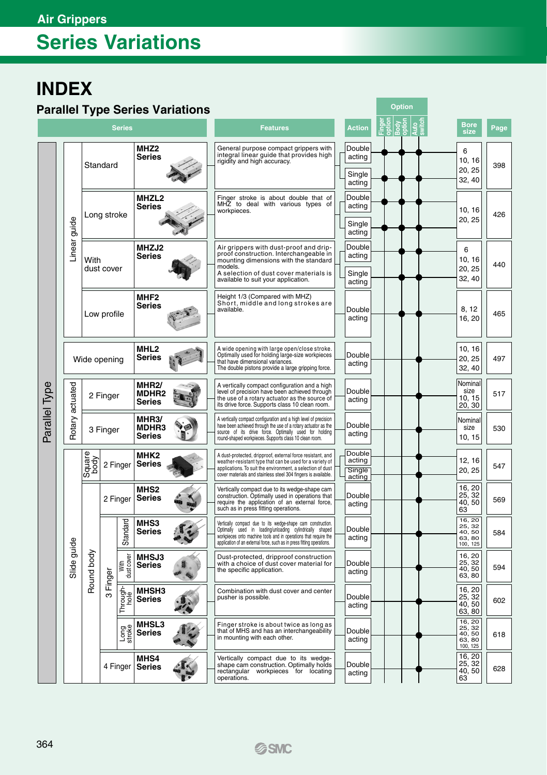## **Series Variations**

### **INDEX**

#### **Parallel Type Series Variations**

|               |              |                            |             |                    |                                                                               | arance type octres variations |                                                                                                                 | <b>Features</b>                                                                                                                                                                                                                                                                               |                  | <b>Action</b>                        |                                  |                 |     |                                      | <b>Bore</b>                                        |      |
|---------------|--------------|----------------------------|-------------|--------------------|-------------------------------------------------------------------------------|-------------------------------|-----------------------------------------------------------------------------------------------------------------|-----------------------------------------------------------------------------------------------------------------------------------------------------------------------------------------------------------------------------------------------------------------------------------------------|------------------|--------------------------------------|----------------------------------|-----------------|-----|--------------------------------------|----------------------------------------------------|------|
| <b>Series</b> |              |                            |             |                    |                                                                               |                               |                                                                                                                 |                                                                                                                                                                                                                                                                                               |                  |                                      |                                  |                 |     |                                      | size                                               | Page |
|               |              | Standard                   |             |                    | MHZ <sub>2</sub><br><b>Series</b>                                             |                               |                                                                                                                 | General purpose compact grippers with<br>integral linear guide that provides high<br>rigidity and high accuracy.                                                                                                                                                                              |                  | Double<br>acting<br>Single<br>acting |                                  |                 |     |                                      | 6<br>10, 16<br>20, 25<br>32, 40                    | 398  |
|               |              |                            | Long stroke |                    | <b>MHZL2</b><br>Series                                                        |                               |                                                                                                                 | Finger stroke is about double that of<br>MHZ to deal with various types of<br>workpieces.                                                                                                                                                                                                     |                  | Double<br>acting<br>Single<br>acting |                                  |                 |     |                                      | 10, 16<br>20, 25                                   | 426  |
|               | Linear guide | With                       | dust cover  |                    | MHZJ2<br>Series                                                               |                               |                                                                                                                 | Air grippers with dust-proof and drip-<br>proof construction. Interchangeable in<br>mounting dimensions with the standard<br>models.<br>A selection of dust cover materials is<br>available to suit your application.                                                                         |                  | Double<br>acting<br>Single<br>acting |                                  |                 |     |                                      | 6<br>10, 16<br>20.25<br>32, 40                     | 440  |
|               |              | Low profile                |             |                    | MHF2<br>Series                                                                |                               |                                                                                                                 | Height 1/3 (Compared with MHZ)<br>Short, middle and long strokes are<br>available.                                                                                                                                                                                                            |                  | Double<br>acting                     |                                  |                 |     |                                      | 8, 12<br>16, 20                                    | 465  |
|               |              | Wide opening               |             |                    | MHL <sub>2</sub><br>Series                                                    |                               |                                                                                                                 | A wide opening with large open/close stroke.<br>Optimally used for holding large-size workpieces<br>that have dimensional variances.<br>The double pistons provide a large gripping force.                                                                                                    |                  | Double<br>acting                     |                                  |                 |     |                                      | 10, 16<br>20, 25<br>32, 40                         | 497  |
|               | actuated     | 2 Finger                   |             |                    | MHR <sub>2</sub><br><b>MDHR2</b><br>Series<br>MHR3/<br><b>MDHR3</b><br>Series |                               |                                                                                                                 | A vertically compact configuration and a high<br>level of precision have been achieved through<br>the use of a rotary actuator as the source of<br>its drive force. Supports class 10 clean room.                                                                                             |                  | Double<br>acting                     |                                  |                 |     |                                      | Nominal<br>size<br>10, 15<br>20, 30                | 517  |
| Parallel Type | Rotary:      |                            | 3 Finger    |                    |                                                                               |                               |                                                                                                                 | A vertically compact configuration and a high level of precision<br>have been achieved through the use of a rotary actuator as the<br>source of its drive force. Optimally used for holding<br>round-shaped workpieces. Supports class 10 clean room.                                         |                  | Double<br>acting                     |                                  |                 |     |                                      | Nominal<br>size<br>10, 15                          | 530  |
|               |              | Square<br>body<br>2 Finger |             |                    | MHK2<br><b>Series</b>                                                         |                               |                                                                                                                 | Double<br>A dust-protected, dripproof, external force resistant, and<br>acting<br>weather-resistant type that can be used for a variety of<br>applications. To suit the environment, a selection of dust<br>Single<br>cover materials and stainless steel 304 fingers is available.<br>acting |                  |                                      |                                  | 12, 16<br>20.25 | 547 |                                      |                                                    |      |
|               |              |                            |             | 2 Finger           | <b>MHS2</b><br><b>Series</b>                                                  |                               |                                                                                                                 | Vertically compact due to its wedge-shape cam<br>Double<br>construction. Optimally used in operations that<br>require the application of an external force,<br>acting<br>such as in press fitting operations.                                                                                 |                  |                                      | 16, 20<br>25, 32<br>40, 50<br>63 | 569             |     |                                      |                                                    |      |
|               |              |                            |             | Standard           | <b>MHS3</b><br>Series                                                         |                               |                                                                                                                 | Vertically compact due to its wedge-shape cam construction.<br>Optimally used in loading/unloading cylindrically shaped<br>workpieces onto machine tools and in operations that require the<br>application of an external force, such as in press fitting operations.                         |                  | Double<br>acting                     |                                  |                 |     |                                      | 16, 20<br>25, 32<br>40, 50<br>63, 80<br>100, 125   | 584  |
|               | Slide guide  | Round body                 | Finger      | With<br>dust cover | MHSJ3<br><b>Series</b>                                                        |                               | Dust-protected, dripproof construction<br>with a choice of dust cover material for<br>the specific application. |                                                                                                                                                                                                                                                                                               | Double<br>acting |                                      |                                  |                 |     | 16, 20<br>25, 32<br>40, 50<br>63, 80 | 594                                                |      |
|               |              |                            | ო           | Through-           | <b>MHSH3</b><br>Series                                                        |                               |                                                                                                                 | Combination with dust cover and center<br>pusher is possible.                                                                                                                                                                                                                                 |                  | Double<br>acting                     |                                  |                 |     |                                      | 16, 20<br>25, 32<br>40,50<br>63, 80                | 602  |
|               |              |                            |             | Long<br>stroke     | <b>MHSL3</b><br>Series                                                        |                               |                                                                                                                 | Finger stroke is about twice as long as<br>that of MHS and has an interchangeability<br>in mounting with each other.                                                                                                                                                                          |                  | Double<br>acting                     |                                  |                 |     |                                      | 16, 20<br>$25, 32$<br>40, 50<br>63, 80<br>100, 125 | 618  |
|               |              |                            | 4 Finger    |                    | MHS4<br><b>Series</b>                                                         |                               |                                                                                                                 | Vertically compact due to its wedge-<br>shape cam construction. Optimally holds<br>workpieces for locating<br>rectangular<br>operations.                                                                                                                                                      |                  | Double<br>acting                     |                                  |                 |     |                                      | 16, 20<br>25, 32<br>40,50<br>63                    | 628  |

**Option**

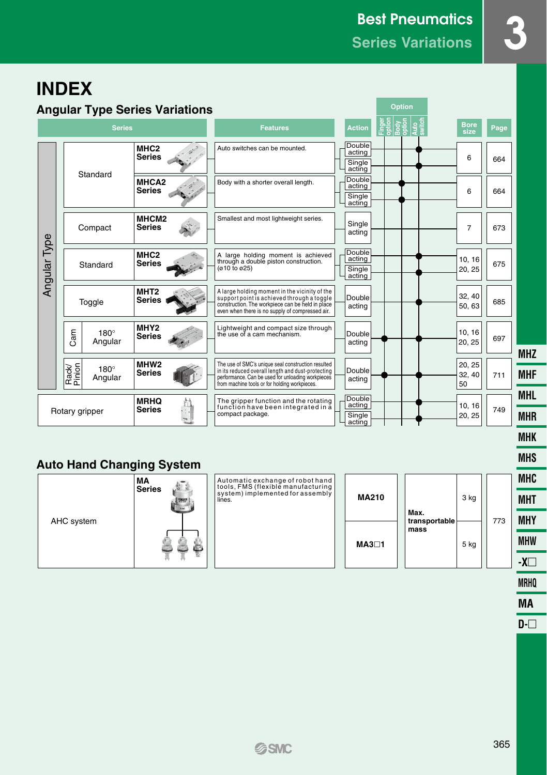## **INDEX**

|              | <b>Angular Type Series Variations</b>     | <b>Option</b>                      |                                                                                                                                                                                                               |                                      |                     |                        |     |
|--------------|-------------------------------------------|------------------------------------|---------------------------------------------------------------------------------------------------------------------------------------------------------------------------------------------------------------|--------------------------------------|---------------------|------------------------|-----|
|              | <b>Series</b>                             |                                    | <b>Features</b>                                                                                                                                                                                               |                                      | <b>Bore</b><br>size | Page,                  |     |
|              | Standard                                  | MHC <sub>2</sub><br><b>Series</b>  | Auto switches can be mounted.                                                                                                                                                                                 | Double<br>acting<br>Single<br>acting |                     | 6                      | 664 |
|              |                                           | MHCA <sub>2</sub><br><b>Series</b> | Body with a shorter overall length.                                                                                                                                                                           | Double<br>acting<br>Single<br>acting |                     | 6                      | 664 |
| Angular Type | Compact                                   | MHCM <sub>2</sub><br><b>Series</b> | Smallest and most lightweight series.                                                                                                                                                                         | Single<br>acting                     |                     | $\overline{7}$         | 673 |
|              | Standard                                  | MHC <sub>2</sub><br><b>Series</b>  | A large holding moment is achieved<br>through a double piston construction.<br>$(010 \text{ to } 025)$                                                                                                        | Double<br>acting<br>Single<br>acting |                     | 10.16<br>20, 25        | 675 |
|              | Toggle                                    | MHT <sub>2</sub><br><b>Series</b>  | A large holding moment in the vicinity of the<br>support point is achieved through a toggle<br>construction. The workpiece can be held in place<br>even when there is no supply of compressed air.            | Double<br>acting                     |                     | 32.40<br>50, 63        | 685 |
|              | Cam<br>$180^\circ$<br>Angular             | MHY <sub>2</sub><br><b>Series</b>  | Lightweight and compact size through<br>the use of a cam mechanism.                                                                                                                                           | Double<br>acting                     |                     | 10.16<br>20, 25        | 697 |
|              | Rack/<br>Pinion<br>$180^\circ$<br>Angular | MHW <sub>2</sub><br><b>Series</b>  | The use of SMC's unique seal construction resulted<br>in its reduced overall length and dust-protecting<br>performance. Can be used for unloading workpieces<br>from machine tools or for holding workpieces. | Double<br>acting                     |                     | 20, 25<br>32, 40<br>50 | 711 |
|              | Rotary gripper                            | <b>MRHQ</b><br><b>Series</b>       | The gripper function and the rotating<br>function have been integrated in a<br>compact package.                                                                                                               | Double<br>acting<br>Single<br>acting |                     | 10.16<br>20, 25        | 749 |

#### **Auto Hand Changing System**



**MRHQ MA**

**D-**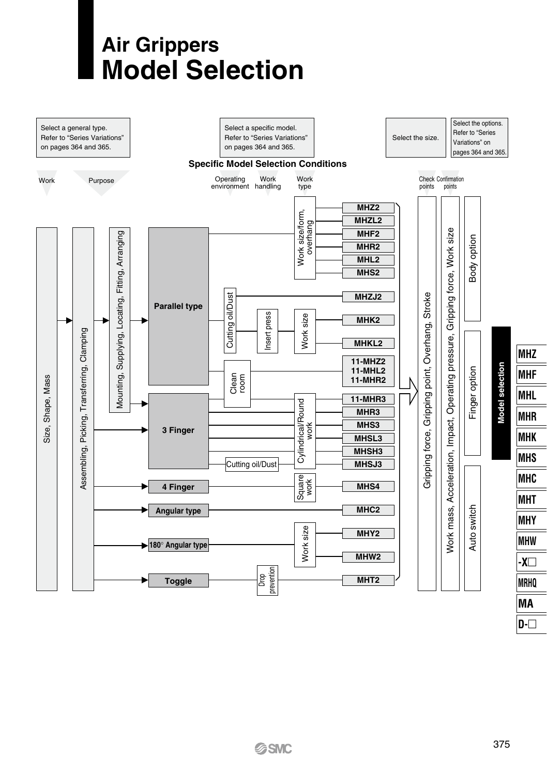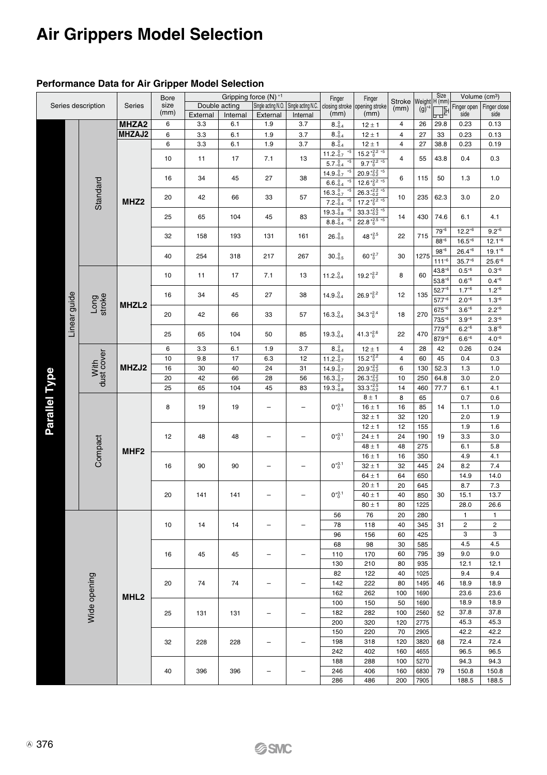#### **Performance Data for Air Gripper Model Selection**

|               |              |                    | Bore              | Gripping force (N) *1 |          |               |                    |                    | Finger                                        |                         |                           | Size<br>H (mm | Volume (cm <sup>3</sup> ) |                       |                 |
|---------------|--------------|--------------------|-------------------|-----------------------|----------|---------------|--------------------|--------------------|-----------------------------------------------|-------------------------|---------------------------|---------------|---------------------------|-----------------------|-----------------|
|               |              | Series description | Series            | size                  |          | Double acting | Single acting N.O. | Single acting N.C. | Finger<br>closing stroke opening stroke       |                         | <b>Stroke</b><br>(mm)     | Weight        |                           | Finger open           | Finger close    |
|               |              |                    |                   | (mm)                  | External | Internal      | External           | Internal           | (mm)                                          | (mm)                    |                           | $(g)^*$       | اللي                      | side                  | side            |
|               |              |                    | MHZA <sub>2</sub> | 6                     | 3.3      | 6.1           | 1.9                | 3.7                | $8_{-0.4}^{0}$                                | $12 \pm 1$              | 4                         | 26            | 29.8                      | 0.23                  | 0.13            |
|               |              |                    | MHZAJ2            | 6                     | 3.3      | 6.1           | 1.9                | 3.7                | $8_{-0.4}^{0}$                                | $12 \pm 1$              | $\overline{4}$            | 27            | 33                        | 0.23                  | 0.13            |
|               |              |                    |                   | 6                     | 3.3      | 6.1           | 1.9                | 3.7                | $8_{-0.4}^{0}$                                | $12 \pm 1$              | 4                         | 27            | 38.8                      | 0.23                  | 0.19            |
|               |              |                    |                   |                       |          |               |                    |                    | $11.2_{-0.7}^{0}$<br>÷5                       | $15.2^{+2.2}_{0}$ *5    |                           |               |                           |                       |                 |
|               |              |                    |                   | 10                    | 11       | 17            | 7.1                | 13                 | $5.7_{-0.4}^{0}$<br>85                        | $9.7_{0}^{+2.2}$ *5     | 4                         | 55            | 43.8                      | 0.4                   | 0.3             |
|               |              |                    |                   |                       |          |               |                    |                    | $+5$                                          | $20.9_{-0.2}^{+2.2}$ *5 |                           |               |                           |                       |                 |
|               |              |                    |                   | 16                    | 34       | 45            | 27                 | 38                 | $14.9 - 0.7$<br>$6.6 - 0.4$<br>5 <sub>5</sub> | $12.6_{0}^{+2.2}_{-6}$  | 6                         | 115           | 50                        | 1.3                   | 1.0             |
|               |              |                    |                   |                       |          |               |                    |                    | 85                                            |                         |                           |               |                           |                       |                 |
|               |              | Standard           |                   | 20                    | 42       | 66            | 33                 | 57                 | $16.3 - 0.7$<br>85                            | $26.3_{-0.2}^{+2.2}$ *5 | 10                        | 235           | 62.3                      | 3.0                   | 2.0             |
|               |              |                    | MHZ <sub>2</sub>  |                       |          |               |                    |                    | $7.2 - 0.4$<br>5 <sub>5</sub>                 | $17.2^{+2.2}_{-0}$      |                           |               |                           |                       |                 |
|               |              |                    |                   | 25                    | 65       | 104           | 45                 | 83                 | $19.3 - 0.8$<br>$5\overline{5}$               | $33.3_{-0.2}^{+2.5}$ *5 | 14                        | 430           | 74.6                      | 6.1                   | 4.1             |
|               |              |                    |                   |                       |          |               |                    |                    | $8.8 - 0.4$                                   | $22.8_{0}^{+2.5}$ *5    |                           |               |                           |                       |                 |
|               |              |                    |                   | 32                    | 158      | 193           | 131                | 161                | $26 - 0.5$                                    | $48^{+2.5}_{-0}$        | 22                        | 715           | $79^{6}$                  | $12.2^{*6}$           | $9.2^{*6}$      |
|               |              |                    |                   |                       |          |               |                    |                    |                                               |                         |                           |               | $88^{+6}$                 | $16.5^{*6}$           | $12.1^{+6}$     |
|               |              |                    |                   | 40                    | 254      | 318           | 217                | 267                | $30 - 0.5$                                    | $60^{+2.7}_{0}$         | 30                        | 1275          | $98^{*6}$                 | $26.4^{*6}$           | $19.1^{*6}$     |
|               |              |                    |                   |                       |          |               |                    |                    |                                               |                         |                           |               | $111^{6}$                 | $35.7^{*6}$           | $25.6^{*6}$     |
|               |              |                    |                   | 10                    | 11       | 17            | 7.1                | 13                 | $11.2 - 0.4$                                  | $19.2^{+2.2}_{-0}$<br>8 | 60                        | $43.8^{+6}$   | $0.5^{*6}$                | $0.3^{*6}$            |                 |
|               |              |                    |                   |                       |          |               |                    |                    |                                               |                         |                           |               | $53.8^{+6}$               | $0.6^{*6}$            | $0.4^{*6}$      |
|               |              |                    |                   | 16                    | 34       | 45            | 27                 | 38                 | $14.9 - 0.4$                                  | $26.9_{0}^{+2.2}$       | 12                        | 135           | $52.7^{+6}$               | $1.7 - 6$             | $1.2^{*6}$      |
|               | Linear guide | Long<br>stroke     |                   |                       |          |               |                    |                    |                                               |                         |                           |               | $57.7^{6}$                | $2.0^{*6}$            | $1.3^{*6}$      |
|               |              |                    | MHZL2             | 20                    | 42       | 66            | 33                 | 57                 | $16.3 - 0.4$                                  | $34.3_{0}^{+2.4}$       | 18                        | 270           | $67.5^{\circ 6}$          | $3.6^{*6}$            | $2.2^{*6}$      |
|               |              |                    |                   |                       |          |               |                    |                    |                                               |                         |                           |               | $73.5^{*6}$               | $3.9^{*6}$            | $2.3^{\circ 6}$ |
|               |              |                    |                   |                       |          |               |                    |                    | $19.3 - 0.4$                                  |                         |                           |               | $77.9^{*6}$               | $6.\overline{2^{*6}}$ | $3.8^{*6}$      |
|               |              |                    |                   | 25                    | 65       | 104           | 50                 | 85                 |                                               | $41.3_{0}^{+2.6}$       | 22                        | 470           | $87.9^{6}$                | $6.6^{*6}$            | $4.0^{*6}$      |
|               |              |                    |                   | 6                     | 3.3      | 6.1           | 1.9                | 3.7                | $8 - 0.4$                                     | $12 \pm 1$              | $\overline{\mathbf{4}}$   | 28            | 42                        | 0.26                  | 0.24            |
|               |              |                    |                   | 10                    | 9.8      | 17            | 6.3                | 12                 | $11.2_{-0.7}^{0}$                             | $15.2_{0}^{+2.2}$       | $\overline{4}$            | 60            | 45                        | 0.4                   | 0.3             |
|               |              | With<br>dust cover | MHZJ2             | 16                    | 30       | 40            | 24                 | 31                 | $14.9\substack{0.7 \\ -0.7}$                  | $20.9_{-0.2}^{+2.2}$    | 6                         | 130           | 52.3                      | 1.3                   | 1.0             |
|               |              |                    |                   | 20                    | 42       | 66            | 28                 | 56                 | $16.3_{-0.7}^{0}$                             | $26.3_{-0.2}^{+2.2}$    | 10                        | 250           | 64.8                      | 3.0                   | 2.0             |
| Parallel Type |              |                    |                   | 25                    | 65       | 104           | 45                 | 83                 | $19.3 - 0.8$                                  | $33.3_{-0.2}^{+2.5}$    | 14                        | 460           | 77.7                      | 6.1                   | 4.1             |
|               |              |                    |                   |                       |          |               |                    |                    |                                               | $8 \pm 1$               | 8                         | 65            |                           | 0.7                   | 0.6             |
|               |              |                    |                   | 8                     | 19       | 19            |                    | $\overline{a}$     | $0^{+0.1}_{-0}$                               | $16 \pm 1$              | 16                        | 85            | 14                        | 1.1                   | 1.0             |
|               |              |                    |                   |                       |          |               |                    |                    |                                               | $32 \pm 1$              | 32                        | 120           |                           | 2.0                   | 1.9             |
|               |              | Compact            |                   |                       |          |               |                    |                    |                                               | $12 \pm 1$              | 12                        | 155           |                           | 1.9                   | 1.6             |
|               |              |                    |                   | 12                    | 48       | 48            |                    |                    | $0^{+0.1}$                                    | $24 \pm 1$              | 24                        | 190           | 19                        | 3.3                   | 3.0             |
|               |              |                    |                   |                       |          |               |                    |                    |                                               | $48 \pm 1$              | 48                        | 275           |                           | 6.1                   | 5.8             |
|               |              |                    | MHF <sub>2</sub>  | 16                    | 90       |               |                    |                    | $0^{+0.1}_{-0}$                               | $16 \pm 1$              | 16<br>32                  | 350           | 24                        | 4.9                   | 4.1             |
|               |              |                    |                   |                       |          | 90            | ۰                  | ÷                  |                                               | $32 \pm 1$              |                           | 445           |                           | 8.2                   | 7.4             |
|               |              |                    |                   |                       |          |               |                    |                    |                                               | $64 \pm 1$              | 64                        | 650           |                           | 14.9                  | 14.0            |
|               |              |                    |                   |                       |          |               |                    |                    |                                               | $20 \pm 1$              | 20                        | 645           |                           | 8.7                   | 7.3             |
|               |              |                    |                   | 20                    | 141      | 141           |                    | L,                 | $0^{+0.1}_{0}$                                | $40 \pm 1$              | 40                        | 850           | 30                        | 15.1                  | 13.7            |
|               |              |                    |                   |                       |          |               |                    |                    |                                               | $80 \pm 1$              | 80                        | 1225          |                           | 28.0                  | 26.6            |
|               |              |                    |                   |                       |          |               |                    |                    | 56                                            | 76                      | 20                        | 280           |                           | 1                     | 1               |
|               |              |                    |                   | 10                    | 14       | 14            |                    | ۳                  | 78                                            | 118                     | 40                        | 345           | 31                        | $\overline{c}$        | $\overline{c}$  |
|               |              |                    |                   |                       |          |               |                    |                    | 96                                            | 156                     | 60                        | 425           |                           | 3                     | 3               |
|               |              |                    |                   |                       |          |               |                    |                    | 68                                            | 98                      | 30                        | 585           |                           | 4.5                   | 4.5             |
|               |              |                    |                   | 16                    | 45       | 45            |                    |                    | 110                                           | 170                     | 60                        | 795           | 39                        | 9.0                   | 9.0             |
|               |              |                    |                   |                       |          |               |                    |                    | 130                                           | 210                     | 80                        | 935           |                           | 12.1                  | 12.1            |
|               |              |                    |                   |                       |          |               |                    |                    | 82                                            | 122                     | 40                        | 1025          |                           | 9.4                   | 9.4             |
|               |              |                    |                   | 20                    | 74       | 74            |                    |                    |                                               | 222                     | 80                        |               |                           |                       |                 |
|               |              | Wide opening       |                   |                       |          |               |                    |                    | 142<br>162                                    | 262                     |                           | 1495          | 46                        | 18.9<br>23.6          | 18.9<br>23.6    |
|               |              |                    | MHL <sub>2</sub>  |                       |          |               |                    |                    | 100                                           | 150                     | 100                       | 1690          |                           | 18.9                  |                 |
|               |              |                    |                   |                       |          |               |                    |                    |                                               |                         | 50<br>1690<br>100<br>2560 |               |                           | 18.9                  |                 |
|               |              |                    |                   | 25                    | 131      | 131           | ۰                  | ۰                  | 182                                           | 282                     |                           | 52            | 37.8                      | 37.8                  |                 |
|               |              |                    |                   |                       |          |               |                    |                    | 200                                           | 320                     | 120<br>70<br>120          | 2775          |                           | 45.3                  | 45.3            |
|               |              |                    |                   |                       |          |               |                    |                    | 150                                           | 220                     |                           | 2905          |                           | 42.2                  | 42.2            |
|               |              |                    |                   | 32                    | 228      | 228           | ۰                  | L.                 | 198                                           | 318                     |                           | 3820          | 68                        | 72.4                  | 72.4            |
|               |              |                    |                   |                       |          |               |                    |                    | 242                                           | 402                     | 160                       | 4655          |                           | 96.5                  | 96.5            |
|               |              |                    |                   |                       |          |               |                    |                    | 188                                           | 288                     | 100                       | 5270          |                           | 94.3                  | 94.3            |
|               |              |                    |                   | 40                    | 396      | 396           | L,                 |                    | 246                                           | 406                     | 160                       | 6830          | 79                        | 150.8                 | 150.8           |
|               |              |                    |                   |                       |          |               |                    |                    | 286                                           | 486                     | 200                       | 7905          |                           | 188.5                 | 188.5           |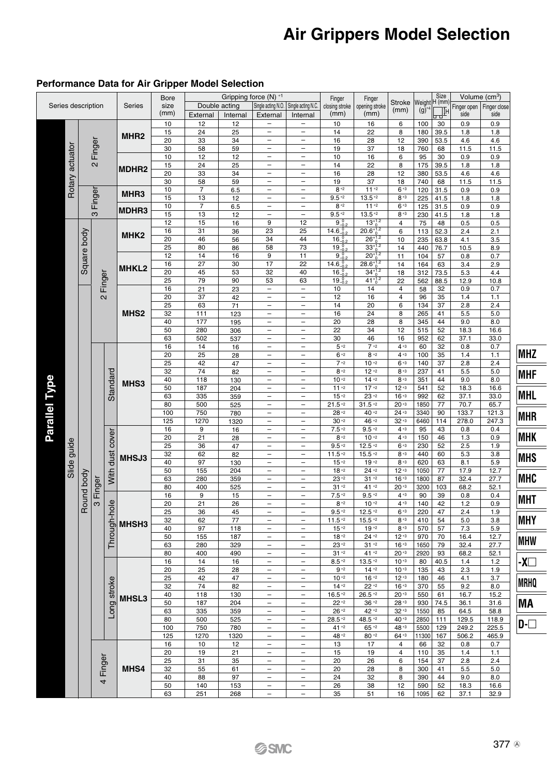|               |                    |            |             |                 |                   |                  |                       |                 | Gripping force (N) *1                      |                                            | Finger                   | Finger                                              |                       |                          | Size         | Volume $(cm3)$                   |                                               |                         |          |            |            |          |              |              |
|---------------|--------------------|------------|-------------|-----------------|-------------------|------------------|-----------------------|-----------------|--------------------------------------------|--------------------------------------------|--------------------------|-----------------------------------------------------|-----------------------|--------------------------|--------------|----------------------------------|-----------------------------------------------|-------------------------|----------|------------|------------|----------|--------------|--------------|
|               | Series description |            |             |                 | <b>Series</b>     | Bore<br>size     |                       | Double acting   | Single acting N.O.                         | Single acting N.C.                         | closing stroke           | opening stroke                                      | <b>Stroke</b><br>(mm) | Weight H (mm)<br>(g)     |              | Finger open                      | Finger close                                  |                         |          |            |            |          |              |              |
|               |                    |            |             |                 |                   | (mm)             | External              | Internal        | External                                   | Internal                                   | (mm)                     | (mm)                                                |                       |                          | ╨            | side                             | side                                          |                         |          |            |            |          |              |              |
|               |                    |            |             |                 |                   | 10               | 12                    | $\overline{12}$ | ÷                                          | $\overline{\phantom{0}}$                   | 10                       | 16                                                  | 6                     | 100                      | 30           | 0.9                              | 0.9                                           |                         |          |            |            |          |              |              |
|               |                    |            |             |                 | MHR <sub>2</sub>  | 15<br>20         | $\overline{24}$<br>33 | 25<br>34        | $\overline{a}$                             | $\overline{a}$                             | 14<br>16                 | 22                                                  | $\overline{8}$<br>12  | 180<br>390               | 39.5<br>53.5 | 1.8<br>4.6                       | 1.8<br>4.6                                    |                         |          |            |            |          |              |              |
|               |                    |            | 2 Finger    |                 |                   | 30               | 58                    | 59              | L,                                         | $\overline{a}$                             | 19                       | 28<br>37                                            | 18                    | 760                      | 68           | 11.5                             | 11.5                                          |                         |          |            |            |          |              |              |
|               | actuator           |            |             |                 |                   | 10               | 12                    | 12              | $\overline{a}$                             | $\overline{a}$                             | 10                       | 16                                                  | 6                     | 95                       | 30           | 0.9                              | 0.9                                           |                         |          |            |            |          |              |              |
|               |                    |            |             |                 | MDHR <sub>2</sub> | 15               | 24                    | 25              | Ξ                                          | $\overline{a}$                             | 14                       | 22                                                  | 8                     | 175                      | 39.5         | 1.8                              | 1.8                                           |                         |          |            |            |          |              |              |
|               |                    |            |             |                 |                   | 20               | 33                    | 34              | ÷                                          | $\overline{a}$                             | 16                       | 28                                                  | 12                    | 380                      | 53.5         | 4.6                              | 4.6                                           |                         |          |            |            |          |              |              |
|               |                    |            |             |                 |                   | 30               | 58                    | 59              | ÷                                          | $\overline{a}$                             | 19                       | 37                                                  | 18                    | 740                      | 68           | 11.5                             | 11.5                                          |                         |          |            |            |          |              |              |
|               | Rotary             |            |             | MHR3            |                   | 10               | 7                     | 6.5             | ۳                                          | ۳                                          | $\mathbf{8}^{*2}$        | $11*2$                                              | $6*3$                 | 120                      | 31.5         | 0.9                              | 0.9                                           |                         |          |            |            |          |              |              |
|               |                    | Finger     |             |                 |                   | 15<br>10         | 13<br>$\overline{7}$  | 12<br>6.5       | $\overline{a}$<br>$\overline{a}$           | $\overline{a}$<br>$\overline{a}$           | $9.5*2$<br>$8*2$         | $13.5*2$<br>$11^{+2}$                               | $8*3$<br>$6^{+3}$     | 225<br>125               | 41.5<br>31.5 | 1.8<br>0.9                       | 1.8<br>0.9                                    |                         |          |            |            |          |              |              |
|               |                    |            | က           |                 | MDHR3             | 15               | 13                    | 12              | ۰                                          | ۰                                          | $9.5*2$                  | $13.5*2$                                            | $8^{+3}$              | 230                      | 41.5         | 1.8                              | 1.8                                           |                         |          |            |            |          |              |              |
|               |                    |            |             |                 |                   | 12               | 15                    | 16              | 9                                          | 12                                         | $\frac{9.0}{14.6}_{0.2}$ |                                                     | $\overline{4}$        | 75                       | 48           | 0.5                              | 0.5                                           |                         |          |            |            |          |              |              |
|               |                    |            | Square body |                 |                   | 16               | 31                    | 36              | 23                                         | 25                                         |                          | $\frac{13^{+12}}{20.6^{+12}}$                       | 6                     | 113                      | 52.3         | 2.4                              | 2.1                                           |                         |          |            |            |          |              |              |
|               |                    |            |             |                 | MHK <sub>2</sub>  | 20               | 46                    | 56              | 34                                         | 44                                         | $16_{-0.2}$              | $\frac{16^{11}}{26^{11}}$ $\frac{26^{11}}{33^{11}}$ | 10                    | 235                      | 63.8         | 4.1                              | 3.5                                           |                         |          |            |            |          |              |              |
|               |                    |            |             |                 |                   | 25               | 80                    | 86              | 58                                         | 73                                         | $19_{-0.2}^{0}$          |                                                     | 14                    | 440                      | 76.7         | 10.5                             | 8.9                                           |                         |          |            |            |          |              |              |
|               |                    |            |             |                 |                   | 12               | 14                    | 16              | 9                                          | 11                                         | $9 - 0.2$                | $20^{+1.2}_{0}$                                     | 11                    | 104                      | 57           | 0.8                              | 0.7                                           |                         |          |            |            |          |              |              |
|               |                    |            |             | <b>MHKL2</b>    | 16<br>20          | 27<br>45         | 30<br>53              | 17<br>32        | 22<br>40                                   | $14.6^{0}_{-0.2}$                          | $28.6^{+1.2}_{0}$        | 14                                                  | 164<br>312            | 63<br>73.5               | 3.4<br>5.3   | 2.9<br>4.4                       |                                               |                         |          |            |            |          |              |              |
|               |                    |            | Finger      |                 |                   | 25               | 79                    | 90              | 53                                         | 63                                         | $16_{-0.2}$<br>$19 - 8$  | $34^{+1.2}_{0}$<br>$41^{+1.2}_{0}$                  | 18<br>22              | 562                      | 88.5         | 12.9                             | 10.8                                          |                         |          |            |            |          |              |              |
|               |                    |            |             |                 |                   | 16               | 21                    | 23              | -                                          | $\overline{\phantom{0}}$                   | 10                       | 14                                                  | 4                     | 58                       | 32           | $0.9\,$                          | 0.7                                           |                         |          |            |            |          |              |              |
|               |                    |            | $\sim$      |                 |                   | 20               | 37                    | 42              | $\overline{a}$                             | -                                          | 12                       | 16                                                  | 4                     | 96                       | 35           | 1.4                              | 1.1                                           |                         |          |            |            |          |              |              |
|               |                    |            |             |                 |                   | 25               | 63                    | 71              | $\overline{a}$                             | $\overline{a}$                             | 14                       | 20                                                  | 6                     | 134                      | 37           | 2.8                              | 2.4                                           |                         |          |            |            |          |              |              |
|               |                    |            |             |                 |                   | MHS <sub>2</sub> | 32                    | 111             | 123                                        | $\overline{a}$                             | $\overline{a}$           | 16                                                  | 24                    | 8                        | 265          | 41                               | 5.5                                           | 5.0                     |          |            |            |          |              |              |
|               |                    |            |             |                 |                   |                  |                       |                 |                                            |                                            | 40                       | 177                                                 | 195                   | $\overline{\phantom{0}}$ | -            | 20                               | 28                                            | 8                       | 345      | 44         | 9.0        | 8.0      |              |              |
|               |                    |            |             |                 |                   |                  |                       |                 |                                            |                                            |                          |                                                     | 50<br>63              | 280<br>502               | 306<br>537   | $\overline{a}$<br>$\overline{a}$ | $\qquad \qquad -$<br>$\overline{\phantom{0}}$ | 22<br>30                | 34<br>46 | 12<br>16   | 515<br>952 | 52<br>62 | 18.3<br>37.1 | 16.6<br>33.0 |
|               |                    |            |             |                 |                   | 16               | 14                    | 16              | $\overline{\phantom{0}}$                   | $\qquad \qquad -$                          | $5*2$                    | $7*2$                                               | $4*3$                 | 60                       | 32           | 0.8                              | 0.7                                           |                         |          |            |            |          |              |              |
|               |                    |            |             |                 |                   | 20               | 25                    | 28              | $\overline{a}$                             | $\overline{a}$                             | $6 - 2$                  | $8*2$                                               | $4*3$                 | 100                      | 35           | 1.4                              | 1.1                                           | <b>MHZ</b>              |          |            |            |          |              |              |
|               |                    |            |             |                 |                   | 25               | 42                    | 47              | $\overline{\phantom{a}}$                   | ۳                                          | $7*2$                    | $10 - 2$                                            | $6 - 3$               | 140                      | 37           | 2.8                              | 2.4                                           |                         |          |            |            |          |              |              |
|               |                    |            |             | Standard        |                   | 32               | 74                    | 82              | $\overline{\phantom{a}}$                   | $\overline{a}$                             | $8*2$                    | $12*2$                                              | $8 - 3$               | 237                      | 41           | 5.5                              | 5.0                                           | <b>MHF</b>              |          |            |            |          |              |              |
|               |                    |            |             |                 | MHS3              | 40               | 118                   | 130             | $\overline{\phantom{0}}$                   | $\overline{a}$<br>$\overline{\phantom{a}}$ | $10 - 2$                 | $14 - 2$                                            | $8 - 3$               | 351                      | 44           | 9.0                              | 8.0                                           |                         |          |            |            |          |              |              |
|               |                    |            |             |                 |                   | 50<br>63         | 187<br>335            | 204<br>359      | $\overline{\phantom{a}}$<br>۳              | ۳                                          | $11*2$<br>15 *2          | $17*2$<br>23 *2                                     | $12*3$<br>$16*3$      | 541<br>992               | 52<br>62     | 18.3<br>37.1                     | 16.6<br>33.0                                  | <b>MHL</b>              |          |            |            |          |              |              |
|               |                    |            |             |                 |                   | 80               | 500                   | 525             | $\overline{a}$                             | ۳                                          | $21.5*2$                 | $31.5*2$                                            | $20*3$                | 1850                     | 77           | 70.7                             | 65.7                                          |                         |          |            |            |          |              |              |
|               |                    |            |             |                 |                   | 100              | 750                   | 780             |                                            | $\overline{a}$                             | 28 * 2                   | 40 *2                                               | $24*3$                | 3340                     | 90           | 133.7                            | 121.3                                         | <b>MHR</b>              |          |            |            |          |              |              |
| Parallel Type |                    |            |             |                 |                   | 125              | 1270                  | 1320            |                                            |                                            | $30 - 2$                 | 46 *2                                               | $32*3$                | 6460                     | 114          | 278.0                            | 247.3                                         |                         |          |            |            |          |              |              |
|               |                    |            |             |                 |                   | 16               | 9                     | 16              | L                                          | $\overline{a}$                             | $7.5*2$                  | $9.5 *2$                                            | $4*3$                 | 95                       | 43           | 0.8                              | 0.4                                           |                         |          |            |            |          |              |              |
|               |                    |            |             |                 |                   | 20               | 21                    | 28              | L                                          |                                            | $8*2$                    | $10*2$                                              | $4*3$                 | 150                      | 46           | 1.3                              | 0.9                                           | <b>MHK</b>              |          |            |            |          |              |              |
|               | Slide guide        |            |             |                 | MHSJ3             | 25<br>32         | 36<br>62              | 47<br>82        |                                            |                                            | $9.5*2$<br>$11.5*2$      | $12.5*2$<br>$15.5*2$                                | $6*3$<br>$8 - 3$      | 230<br>440               | 52<br>60     | 2.5<br>5.3                       | 1.9<br>3.8                                    |                         |          |            |            |          |              |              |
|               |                    |            |             | With dust cover |                   | 40               | 97                    | 130             | $\overline{\phantom{0}}$                   | $\overline{\phantom{0}}$                   | $15 - 2$                 | 19 *2                                               | $8^{+3}$              | 620                      | 63           | 8.1                              | 5.9                                           | <b>MHS</b>              |          |            |            |          |              |              |
|               |                    |            |             |                 |                   |                  |                       |                 |                                            |                                            |                          | 50                                                  | 155                   | 204                      | Ξ            | Ξ                                | $18 - 2$                                      | $24 - 2$                | $12 - 3$ | 1050       | 77         | 17.9     | 12.7         |              |
|               |                    | Pound body |             |                 |                   | 63               | 280                   | 359             | ۳                                          | L.                                         | $23*2$                   | $31 - 2$                                            | $16 - 3$              | 1800                     | 87           | 32.4                             | 27.7                                          | <b>MHC</b>              |          |            |            |          |              |              |
|               |                    |            |             |                 |                   | 80               | 400                   | 525             | ÷                                          | L.                                         | $31 - 2$                 | 41 *2                                               | $20*3$                | 3200                     | 103          | 68.2                             | 52.1                                          |                         |          |            |            |          |              |              |
|               |                    |            | 3 Finger    | Through-hole    |                   |                  |                       | 16              | 9                                          | 15                                         | ۳                        | $\overline{\phantom{0}}$                            | $7.5*2$               | $9.5*2$                  | $4*3$        | 90                               | 39                                            | 0.8                     | 0.4      | <b>MHT</b> |            |          |              |              |
|               |                    |            |             |                 |                   | 20<br>25         | 21<br>36              | 26<br>45        | ۳                                          | $\overline{\phantom{0}}$                   | $8*2$<br>$9.5\,{}^{*2}$  | $10*2$<br>$12.5*2$                                  | $4*3$<br>$6*3$        | 140<br>220               | 42<br>47     | 1.2<br>2.4                       | 0.9<br>1.9                                    |                         |          |            |            |          |              |              |
|               |                    |            |             |                 |                   | 32               | 62                    | 77              | $\overline{\phantom{a}}$                   | $\overline{\phantom{a}}$                   | $11.5*2$                 | $15.5*2$                                            | $8*3$                 | 410                      | 54           | 5.0                              | 3.8                                           | <b>MHY</b>              |          |            |            |          |              |              |
|               |                    |            |             |                 | MHSH3             | 40               | 97                    | 118             |                                            |                                            | $15*2$                   | $19*2$                                              | $8*3$                 | 570                      | 57           | 7.3                              | 5.9                                           |                         |          |            |            |          |              |              |
|               |                    |            |             |                 |                   | 50               | 155                   | 187             |                                            |                                            | $18*2$                   | $24*2$                                              | $12*3$                | 970                      | 70           | 16.4                             | 12.7                                          | <b>MHW</b>              |          |            |            |          |              |              |
|               |                    |            |             |                 |                   | 63               | 280                   | 329             |                                            |                                            | $23*2$                   | $31 - 2$                                            | $16*3$                | 1650                     | 79           | 32.4                             | 27.7                                          |                         |          |            |            |          |              |              |
|               |                    |            |             |                 |                   | 80               | 400                   | 490             |                                            |                                            | $31 - 2$<br>$8.5*2$      | 41 *2<br>$13.5*2$                                   | $20*3$<br>$10*3$      | 2920<br>80               | 93<br>40.5   | 68.2                             | 52.1                                          | $\overline{\mathsf{X}}$ |          |            |            |          |              |              |
|               |                    |            |             |                 |                   | 16<br>20         | 14<br>25              | 16<br>28        |                                            |                                            | $9*2$                    | $14*2$                                              | $10*3$                | 135                      | 43           | 1.4<br>2.3                       | 1.2<br>1.9                                    |                         |          |            |            |          |              |              |
|               |                    |            |             |                 |                   | 25               | 42                    | 47              |                                            |                                            | $10 - 2$                 | $16 - 2$                                            | $12*3$                | 180                      | 46           | 4.1                              | 3.7                                           |                         |          |            |            |          |              |              |
|               |                    |            |             |                 |                   | 32               | 74                    | 82              |                                            |                                            | $14 - 2$                 | $22*2$                                              | $16 - 3$              | 370                      | 55           | 9.2                              | 8.0                                           | <b>MRHQ</b>             |          |            |            |          |              |              |
|               |                    |            |             |                 | MHSL3             | 40               | 118                   | 130             |                                            |                                            | $16.5*2$                 | $26.5*2$                                            | $20 - 3$              | 550                      | 61           | 16.7                             | 15.2                                          |                         |          |            |            |          |              |              |
|               |                    |            |             |                 |                   | 50               | 187                   | 204             | $\overline{a}$                             |                                            | $22*2$                   | $36 - 2$                                            | $28 - 3$              | 930                      | 74.5         | 36.1                             | 31.6                                          | MA                      |          |            |            |          |              |              |
|               |                    |            |             | Long stroke     |                   | 63               | 335                   | 359             | -                                          |                                            | $26*2$                   | 42 *2                                               | $32*3$<br>40 * 3      | 1550                     | 85           | 64.5                             | 58.8                                          |                         |          |            |            |          |              |              |
|               |                    |            |             |                 |                   | 80<br>100        | 500<br>750            | 525<br>780      | $\overline{\phantom{0}}$<br>$\overline{a}$ | $\overline{\phantom{0}}$<br>$\overline{a}$ | 28.5 *2<br>41 *2         | 48.5 *2<br>$65 *2$                                  | 48 * 3                | 2850<br>5500             | 111<br>129   | 129.5<br>249.2                   | 118.9<br>225.5                                | $D-\Box$                |          |            |            |          |              |              |
|               |                    |            |             |                 |                   | 125              | 1270                  | 1320            | $\overline{\phantom{0}}$                   | $\overline{a}$                             | 48 *2                    | 80 *2                                               | $64*3$                | 11300                    | 167          | 506.2                            | 465.9                                         |                         |          |            |            |          |              |              |
|               |                    |            |             |                 |                   | 16               | 10                    | 12              | $\qquad \qquad -$                          | $\qquad \qquad -$                          | 13                       | 17                                                  | 4                     | 66                       | 32           | 0.8                              | 0.7                                           |                         |          |            |            |          |              |              |
|               |                    |            |             |                 |                   | 20               | 19                    | 21              | $\qquad \qquad -$                          | $\qquad \qquad -$                          | 15                       | 19                                                  | 4                     | 110                      | 35           | 1.4                              | 1.1                                           |                         |          |            |            |          |              |              |
|               |                    |            | Finger      |                 |                   | 25               | 31                    | 35              | $\qquad \qquad -$                          | $\qquad \qquad -$                          | 20                       | 26                                                  | 6                     | 154                      | 37           | 2.8                              | 2.4                                           |                         |          |            |            |          |              |              |
|               |                    |            |             |                 | MHS4              | 32               | 55                    | 61              | $\overline{\phantom{0}}$<br>۳              | $\qquad \qquad -$<br>۰                     | 20<br>24                 | 28                                                  | 8                     | 300                      | 41           | 5.5                              | 5.0                                           |                         |          |            |            |          |              |              |
|               |                    |            | 4           |                 |                   | 40<br>50         | 88<br>140             | 97<br>153       | ۳                                          | ۰                                          | 26                       | 32<br>38                                            | 8<br>$\overline{12}$  | 390<br>590               | 44<br>52     | 9.0<br>18.3                      | 8.0<br>16.6                                   |                         |          |            |            |          |              |              |
|               |                    |            |             |                 |                   | 63               | 251                   | 268             | $\overline{a}$                             | $\overline{a}$                             | 35                       | 51                                                  | 16                    | 1095                     | 62           | 37.1                             | 32.9                                          |                         |          |            |            |          |              |              |
|               |                    |            |             |                 |                   |                  |                       |                 |                                            |                                            |                          |                                                     |                       |                          |              |                                  |                                               |                         |          |            |            |          |              |              |

#### **Performance Data for Air Gripper Model Selection**

![](_page_4_Figure_3.jpeg)